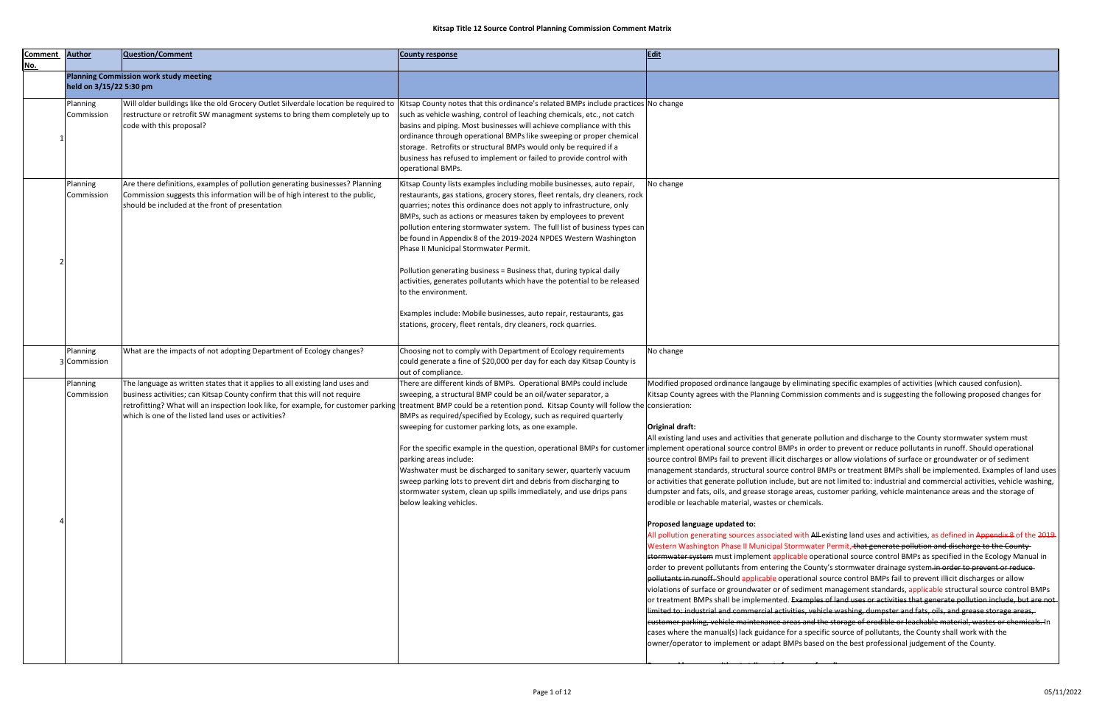| <b>Comment</b><br><u>No.</u> | <b>Author</b>            | Question/Comment                                                                                                                                                                                                                                                                                                                                                                              | <b>County response</b>                                                                                                                                                                                                                                                                                                                                                                                                                                                                                                                                                                                                                                                                                                                                                                                           | Edit                                                                                                                                                                                                                                                                                                                                                                                                                                                                                                                                                                                                                                                                                                                                                                                                                                                                                                                                                                                                                                                                                                                                                                                                                                                                                                                                                                                                                                                                                                                                                                                                                                                                                                                                                                                                                                                                                                                                                                                                                                                                                                                                                                                                                                                                                                                                                                                                                                                                                                                  |
|------------------------------|--------------------------|-----------------------------------------------------------------------------------------------------------------------------------------------------------------------------------------------------------------------------------------------------------------------------------------------------------------------------------------------------------------------------------------------|------------------------------------------------------------------------------------------------------------------------------------------------------------------------------------------------------------------------------------------------------------------------------------------------------------------------------------------------------------------------------------------------------------------------------------------------------------------------------------------------------------------------------------------------------------------------------------------------------------------------------------------------------------------------------------------------------------------------------------------------------------------------------------------------------------------|-----------------------------------------------------------------------------------------------------------------------------------------------------------------------------------------------------------------------------------------------------------------------------------------------------------------------------------------------------------------------------------------------------------------------------------------------------------------------------------------------------------------------------------------------------------------------------------------------------------------------------------------------------------------------------------------------------------------------------------------------------------------------------------------------------------------------------------------------------------------------------------------------------------------------------------------------------------------------------------------------------------------------------------------------------------------------------------------------------------------------------------------------------------------------------------------------------------------------------------------------------------------------------------------------------------------------------------------------------------------------------------------------------------------------------------------------------------------------------------------------------------------------------------------------------------------------------------------------------------------------------------------------------------------------------------------------------------------------------------------------------------------------------------------------------------------------------------------------------------------------------------------------------------------------------------------------------------------------------------------------------------------------------------------------------------------------------------------------------------------------------------------------------------------------------------------------------------------------------------------------------------------------------------------------------------------------------------------------------------------------------------------------------------------------------------------------------------------------------------------------------------------------|
|                              | held on 3/15/22 5:30 pm  | <b>Planning Commission work study meeting</b>                                                                                                                                                                                                                                                                                                                                                 |                                                                                                                                                                                                                                                                                                                                                                                                                                                                                                                                                                                                                                                                                                                                                                                                                  |                                                                                                                                                                                                                                                                                                                                                                                                                                                                                                                                                                                                                                                                                                                                                                                                                                                                                                                                                                                                                                                                                                                                                                                                                                                                                                                                                                                                                                                                                                                                                                                                                                                                                                                                                                                                                                                                                                                                                                                                                                                                                                                                                                                                                                                                                                                                                                                                                                                                                                                       |
|                              | Planning<br>Commission   | Will older buildings like the old Grocery Outlet Silverdale location be required to Kitsap County notes that this ordinance's related BMPs include practices No change<br>restructure or retrofit SW managment systems to bring them completely up to<br>code with this proposal?                                                                                                             | such as vehicle washing, control of leaching chemicals, etc., not catch<br>basins and piping. Most businesses will achieve compliance with this<br>ordinance through operational BMPs like sweeping or proper chemical<br>storage. Retrofits or structural BMPs would only be required if a<br>business has refused to implement or failed to provide control with<br>operational BMPs.                                                                                                                                                                                                                                                                                                                                                                                                                          |                                                                                                                                                                                                                                                                                                                                                                                                                                                                                                                                                                                                                                                                                                                                                                                                                                                                                                                                                                                                                                                                                                                                                                                                                                                                                                                                                                                                                                                                                                                                                                                                                                                                                                                                                                                                                                                                                                                                                                                                                                                                                                                                                                                                                                                                                                                                                                                                                                                                                                                       |
|                              | Planning<br>Commission   | Are there definitions, examples of pollution generating businesses? Planning<br>Commission suggests this information will be of high interest to the public,<br>should be included at the front of presentation                                                                                                                                                                               | Kitsap County lists examples including mobile businesses, auto repair,<br>restaurants, gas stations, grocery stores, fleet rentals, dry cleaners, rock  <br>quarries; notes this ordinance does not apply to infrastructure, only<br>BMPs, such as actions or measures taken by employees to prevent<br>pollution entering stormwater system. The full list of business types can<br>be found in Appendix 8 of the 2019-2024 NPDES Western Washington<br>Phase II Municipal Stormwater Permit.<br>Pollution generating business = Business that, during typical daily<br>activities, generates pollutants which have the potential to be released<br>to the environment.<br>Examples include: Mobile businesses, auto repair, restaurants, gas<br>stations, grocery, fleet rentals, dry cleaners, rock quarries. | No change                                                                                                                                                                                                                                                                                                                                                                                                                                                                                                                                                                                                                                                                                                                                                                                                                                                                                                                                                                                                                                                                                                                                                                                                                                                                                                                                                                                                                                                                                                                                                                                                                                                                                                                                                                                                                                                                                                                                                                                                                                                                                                                                                                                                                                                                                                                                                                                                                                                                                                             |
|                              | Planning<br>3 Commission | What are the impacts of not adopting Department of Ecology changes?                                                                                                                                                                                                                                                                                                                           | Choosing not to comply with Department of Ecology requirements<br>could generate a fine of \$20,000 per day for each day Kitsap County is<br>out of compliance.                                                                                                                                                                                                                                                                                                                                                                                                                                                                                                                                                                                                                                                  | No change                                                                                                                                                                                                                                                                                                                                                                                                                                                                                                                                                                                                                                                                                                                                                                                                                                                                                                                                                                                                                                                                                                                                                                                                                                                                                                                                                                                                                                                                                                                                                                                                                                                                                                                                                                                                                                                                                                                                                                                                                                                                                                                                                                                                                                                                                                                                                                                                                                                                                                             |
|                              | Planning<br>Commission   | The language as written states that it applies to all existing land uses and<br>business activities; can Kitsap County confirm that this will not require<br> retrofitting? What will an inspection look like, for example, for customer parking  treatment BMP could be a retention pond. Kitsap County will follow the consieration:<br>which is one of the listed land uses or activities? | There are different kinds of BMPs. Operational BMPs could include<br>sweeping, a structural BMP could be an oil/water separator, a<br>BMPs as required/specified by Ecology, such as required quarterly<br>sweeping for customer parking lots, as one example.<br>parking areas include:<br>Washwater must be discharged to sanitary sewer, quarterly vacuum<br>sweep parking lots to prevent dirt and debris from discharging to<br>stormwater system, clean up spills immediately, and use drips pans<br>below leaking vehicles.                                                                                                                                                                                                                                                                               | Modified proposed ordinance langauge by eliminating specific examples of activities (which caused confusion).<br>Kitsap County agrees with the Planning Commission comments and is suggesting the following proposed changes for<br>Original draft:<br>All existing land uses and activities that generate pollution and discharge to the County stormwater system must<br>For the specific example in the question, operational BMPs for customer implement operational source control BMPs in order to prevent or reduce pollutants in runoff. Should operational<br>source control BMPs fail to prevent illicit discharges or allow violations of surface or groundwater or of sediment<br>management standards, structural source control BMPs or treatment BMPs shall be implemented. Examples of land uses<br>or activities that generate pollution include, but are not limited to: industrial and commercial activities, vehicle washing,<br>dumpster and fats, oils, and grease storage areas, customer parking, vehicle maintenance areas and the storage of<br>erodible or leachable material, wastes or chemicals.<br>Proposed language updated to:<br>All pollution generating sources associated with All-existing land uses and activities, as defined in Appendix 8 of the 2019<br>Western Washington Phase II Municipal Stormwater Permit, that generate pollution and discharge to the County-<br>stormwater system must implement applicable operational source control BMPs as specified in the Ecology Manual in<br>order to prevent pollutants from entering the County's stormwater drainage system <del>.in order to prevent or reduce</del><br>pollutants in runoff. Should applicable operational source control BMPs fail to prevent illicit discharges or allow<br>violations of surface or groundwater or of sediment management standards, applicable structural source control BMPs<br>or treatment BMPs shall be implemented. Examples of land uses or activities that generate pollution include, but are not<br>limited to: industrial and commercial activities, vehicle washing, dumpster and fats, oils, and grease storage areas,<br>eustomer parking, vehicle maintenance areas and the storage of erodible or leachable material, wastes or chemicals. In<br>cases where the manual(s) lack guidance for a specific source of pollutants, the County shall work with the<br>owner/operator to implement or adapt BMPs based on the best professional judgement of the County. |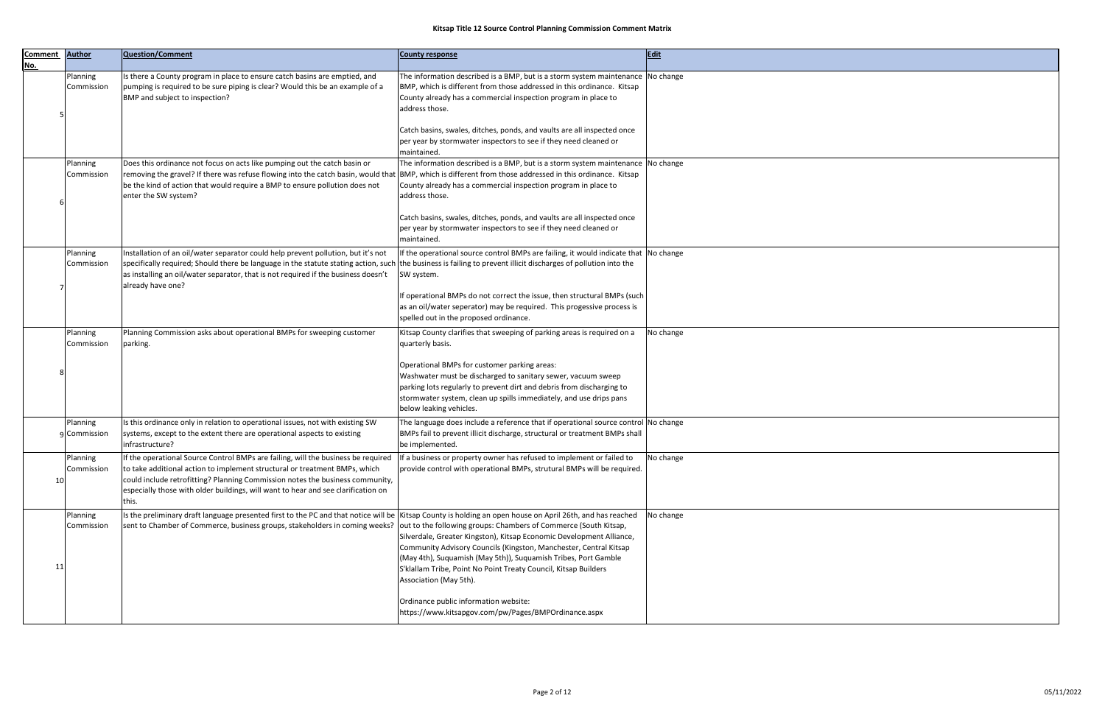| <b>Comment</b><br>No. | <b>Author</b>            | <b>Question/Comment</b>                                                                                                                                                                                                                                                                                                                                         | <b>County response</b>                                                                                                                                                                                                                                                                 | Edit      |
|-----------------------|--------------------------|-----------------------------------------------------------------------------------------------------------------------------------------------------------------------------------------------------------------------------------------------------------------------------------------------------------------------------------------------------------------|----------------------------------------------------------------------------------------------------------------------------------------------------------------------------------------------------------------------------------------------------------------------------------------|-----------|
|                       | Planning<br>Commission   | Is there a County program in place to ensure catch basins are emptied, and<br>pumping is required to be sure piping is clear? Would this be an example of a<br>BMP and subject to inspection?                                                                                                                                                                   | The information described is a BMP, but is a storm system maintenance $\vert$ No change<br>BMP, which is different from those addressed in this ordinance. Kitsap<br>County already has a commercial inspection program in place to<br>address those.                                  |           |
|                       |                          |                                                                                                                                                                                                                                                                                                                                                                 | Catch basins, swales, ditches, ponds, and vaults are all inspected once<br>per year by stormwater inspectors to see if they need cleaned or<br>maintained.                                                                                                                             |           |
|                       | Planning<br>Commission   | Does this ordinance not focus on acts like pumping out the catch basin or<br>removing the gravel? If there was refuse flowing into the catch basin, would that BMP, which is different from those addressed in this ordinance. Kitsap<br>be the kind of action that would require a BMP to ensure pollution does not<br>enter the SW system?                    | The information described is a BMP, but is a storm system maintenance No change<br>County already has a commercial inspection program in place to<br>address those.                                                                                                                    |           |
|                       |                          |                                                                                                                                                                                                                                                                                                                                                                 | Catch basins, swales, ditches, ponds, and vaults are all inspected once<br>per year by stormwater inspectors to see if they need cleaned or<br>maintained.                                                                                                                             |           |
|                       | Planning<br>Commission   | Installation of an oil/water separator could help prevent pollution, but it's not<br>specifically required; Should there be language in the statute stating action, such the business is failing to prevent illicit discharges of pollution into the<br>as installing an oil/water separator, that is not required if the business doesn't<br>already have one? | If the operational source control BMPs are failing, it would indicate that No change<br>SW system.                                                                                                                                                                                     |           |
|                       |                          |                                                                                                                                                                                                                                                                                                                                                                 | If operational BMPs do not correct the issue, then structural BMPs (such<br>as an oil/water seperator) may be required. This progessive process is<br>spelled out in the proposed ordinance.                                                                                           |           |
|                       | Planning<br>Commission   | Planning Commission asks about operational BMPs for sweeping customer<br>parking.                                                                                                                                                                                                                                                                               | Kitsap County clarifies that sweeping of parking areas is required on a<br>quarterly basis.                                                                                                                                                                                            | No change |
|                       |                          |                                                                                                                                                                                                                                                                                                                                                                 | Operational BMPs for customer parking areas:<br>Washwater must be discharged to sanitary sewer, vacuum sweep<br>parking lots regularly to prevent dirt and debris from discharging to<br>stormwater system, clean up spills immediately, and use drips pans<br>below leaking vehicles. |           |
|                       | Planning<br>g Commission | Is this ordinance only in relation to operational issues, not with existing SW<br>systems, except to the extent there are operational aspects to existing<br>infrastructure?                                                                                                                                                                                    | The language does include a reference that if operational source control No change<br>BMPs fail to prevent illicit discharge, structural or treatment BMPs shall<br>be implemented.                                                                                                    |           |
| 10                    | Planning<br>Commission   | If the operational Source Control BMPs are failing, will the business be required<br>to take additional action to implement structural or treatment BMPs, which<br>could include retrofitting? Planning Commission notes the business community,<br>especially those with older buildings, will want to hear and see clarification on<br>his.                   | If a business or property owner has refused to implement or failed to<br>provide control with operational BMPs, strutural BMPs will be required.                                                                                                                                       | No change |
| 11                    | Planning<br>Commission   | Is the preliminary draft language presented first to the PC and that notice will be  Kitsap County is holding an open house on April 26th, and has reached<br>sent to Chamber of Commerce, business groups, stakeholders in coming weeks?  out to the following groups: Chambers of Commerce (South Kitsap,                                                     | Silverdale, Greater Kingston), Kitsap Economic Development Alliance,<br>Community Advisory Councils (Kingston, Manchester, Central Kitsap<br>(May 4th), Suquamish (May 5th)), Suquamish Tribes, Port Gamble<br>S'klallam Tribe, Point No Point Treaty Council, Kitsap Builders         | No change |
|                       |                          |                                                                                                                                                                                                                                                                                                                                                                 | Association (May 5th).<br>Ordinance public information website:<br>https://www.kitsapgov.com/pw/Pages/BMPOrdinance.aspx                                                                                                                                                                |           |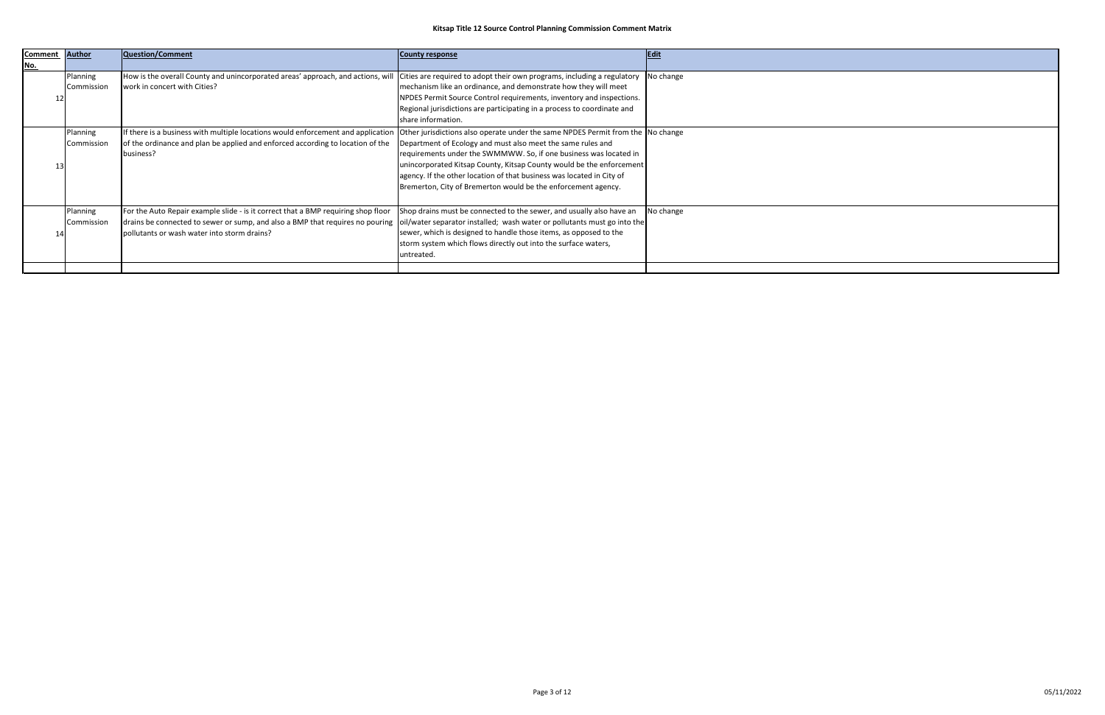| <b>Comment</b> | <b>Author</b>          | Question/Comment                                                                                                                                                                                                                                                                            | <b>County response</b>                                                                                                                                                                                                                                                                                                                                                                                                                | Edit      |
|----------------|------------------------|---------------------------------------------------------------------------------------------------------------------------------------------------------------------------------------------------------------------------------------------------------------------------------------------|---------------------------------------------------------------------------------------------------------------------------------------------------------------------------------------------------------------------------------------------------------------------------------------------------------------------------------------------------------------------------------------------------------------------------------------|-----------|
| <u>No.</u>     |                        |                                                                                                                                                                                                                                                                                             |                                                                                                                                                                                                                                                                                                                                                                                                                                       |           |
|                | Planning<br>Commission | How is the overall County and unincorporated areas' approach, and actions, will<br>work in concert with Cities?                                                                                                                                                                             | $\vert$ Cities are required to adopt their own programs, including a regulatory $\vert$ No change<br>mechanism like an ordinance, and demonstrate how they will meet<br>NPDES Permit Source Control requirements, inventory and inspections.<br>Regional jurisdictions are participating in a process to coordinate and<br>share information.                                                                                         |           |
|                | Planning<br>Commission | If there is a business with multiple locations would enforcement and application<br>of the ordinance and plan be applied and enforced according to location of the<br>business?                                                                                                             | Other jurisdictions also operate under the same NPDES Permit from the No change<br>Department of Ecology and must also meet the same rules and<br>requirements under the SWMMWW. So, if one business was located in<br>unincorporated Kitsap County, Kitsap County would be the enforcement<br>agency. If the other location of that business was located in City of<br>Bremerton, City of Bremerton would be the enforcement agency. |           |
|                | Planning<br>Commission | For the Auto Repair example slide - is it correct that a BMP requiring shop floor<br>drains be connected to sewer or sump, and also a BMP that requires no pouring  oil/water separator installed; wash water or pollutants must go into the<br>pollutants or wash water into storm drains? | Shop drains must be connected to the sewer, and usually also have an<br>sewer, which is designed to handle those items, as opposed to the<br>storm system which flows directly out into the surface waters,<br>untreated.                                                                                                                                                                                                             | No change |
|                |                        |                                                                                                                                                                                                                                                                                             |                                                                                                                                                                                                                                                                                                                                                                                                                                       |           |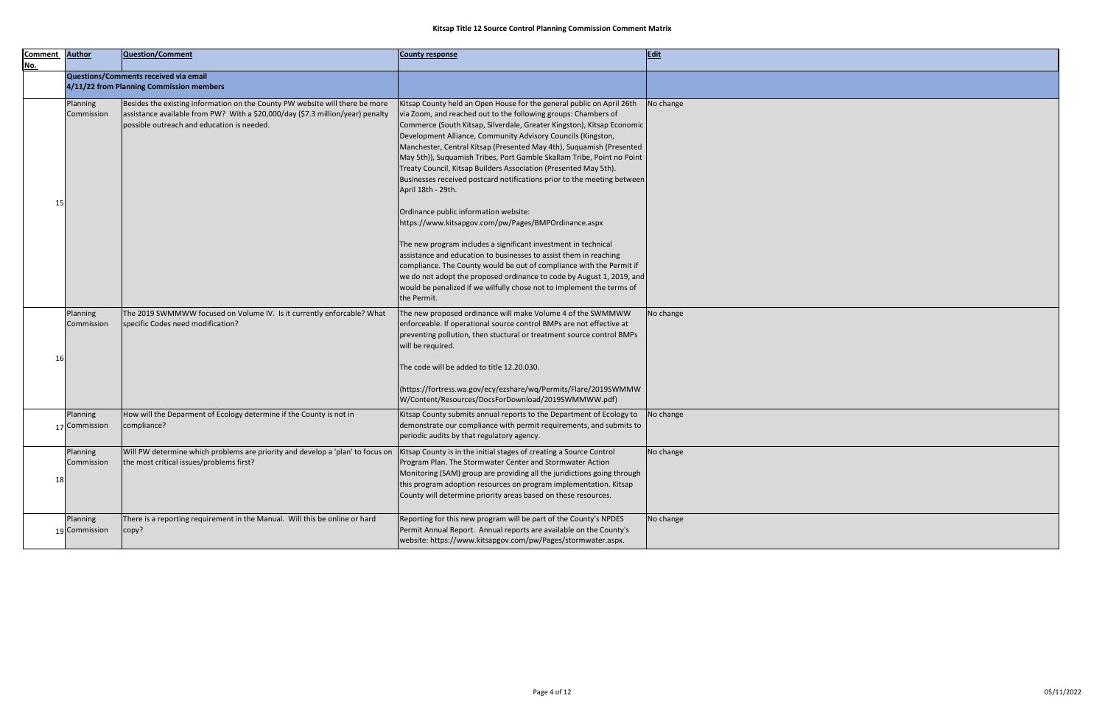| Comment Author |               | Question/Comment                                                               | <b>County response</b>                                                  | Edit      |
|----------------|---------------|--------------------------------------------------------------------------------|-------------------------------------------------------------------------|-----------|
| No.            |               |                                                                                |                                                                         |           |
|                |               | Questions/Comments received via email                                          |                                                                         |           |
|                |               | 4/11/22 from Planning Commission members                                       |                                                                         |           |
|                | Planning      | Besides the existing information on the County PW website will there be more   | Kitsap County held an Open House for the general public on April 26th   | No change |
|                | Commission    | assistance available from PW? With a \$20,000/day (\$7.3 million/year) penalty | via Zoom, and reached out to the following groups: Chambers of          |           |
|                |               | possible outreach and education is needed.                                     | Commerce (South Kitsap, Silverdale, Greater Kingston), Kitsap Economic  |           |
|                |               |                                                                                | Development Alliance, Community Advisory Councils (Kingston,            |           |
|                |               |                                                                                | Manchester, Central Kitsap (Presented May 4th), Suquamish (Presented    |           |
|                |               |                                                                                | May 5th)), Suquamish Tribes, Port Gamble Skallam Tribe, Point no Point  |           |
|                |               |                                                                                | Treaty Council, Kitsap Builders Association (Presented May 5th).        |           |
|                |               |                                                                                | Businesses received postcard notifications prior to the meeting between |           |
|                |               |                                                                                | April 18th - 29th.                                                      |           |
| 15             |               |                                                                                |                                                                         |           |
|                |               |                                                                                | Ordinance public information website:                                   |           |
|                |               |                                                                                | https://www.kitsapgov.com/pw/Pages/BMPOrdinance.aspx                    |           |
|                |               |                                                                                |                                                                         |           |
|                |               |                                                                                | The new program includes a significant investment in technical          |           |
|                |               |                                                                                | assistance and education to businesses to assist them in reaching       |           |
|                |               |                                                                                | compliance. The County would be out of compliance with the Permit if    |           |
|                |               |                                                                                | we do not adopt the proposed ordinance to code by August 1, 2019, and   |           |
|                |               |                                                                                | would be penalized if we wilfully chose not to implement the terms of   |           |
|                |               |                                                                                | the Permit.                                                             |           |
|                | Planning      | The 2019 SWMMWW focused on Volume IV. Is it currently enforcable? What         | The new proposed ordinance will make Volume 4 of the SWMMWW             | No change |
|                | Commission    | specific Codes need modification?                                              | enforceable. If operational source control BMPs are not effective at    |           |
|                |               |                                                                                | preventing pollution, then stuctural or treatment source control BMPs   |           |
|                |               |                                                                                | will be required.                                                       |           |
| 16             |               |                                                                                |                                                                         |           |
|                |               |                                                                                | The code will be added to title 12.20.030.                              |           |
|                |               |                                                                                |                                                                         |           |
|                |               |                                                                                | (https://fortress.wa.gov/ecy/ezshare/wq/Permits/Flare/2019SWMMW         |           |
|                |               |                                                                                | W/Content/Resources/DocsForDownload/2019SWMMWW.pdf)                     |           |
|                | Planning      | How will the Deparment of Ecology determine if the County is not in            | Kitsap County submits annual reports to the Department of Ecology to    | No change |
|                | 17 Commission | compliance?                                                                    | demonstrate our compliance with permit requirements, and submits to     |           |
|                |               |                                                                                | periodic audits by that regulatory agency.                              |           |
|                | Planning      | Will PW determine which problems are priority and develop a 'plan' to focus on | Kitsap County is in the initial stages of creating a Source Control     | No change |
|                | Commission    | the most critical issues/problems first?                                       | Program Plan. The Stormwater Center and Stormwater Action               |           |
|                |               |                                                                                | Monitoring (SAM) group are providing all the juridictions going through |           |
| 18             |               |                                                                                | this program adoption resources on program implementation. Kitsap       |           |
|                |               |                                                                                | County will determine priority areas based on these resources.          |           |
|                |               |                                                                                |                                                                         |           |
|                | Planning      | There is a reporting requirement in the Manual. Will this be online or hard    | Reporting for this new program will be part of the County's NPDES       | No change |
|                | 19 Commission | copy?                                                                          | Permit Annual Report. Annual reports are available on the County's      |           |
|                |               |                                                                                | website: https://www.kitsapgov.com/pw/Pages/stormwater.aspx.            |           |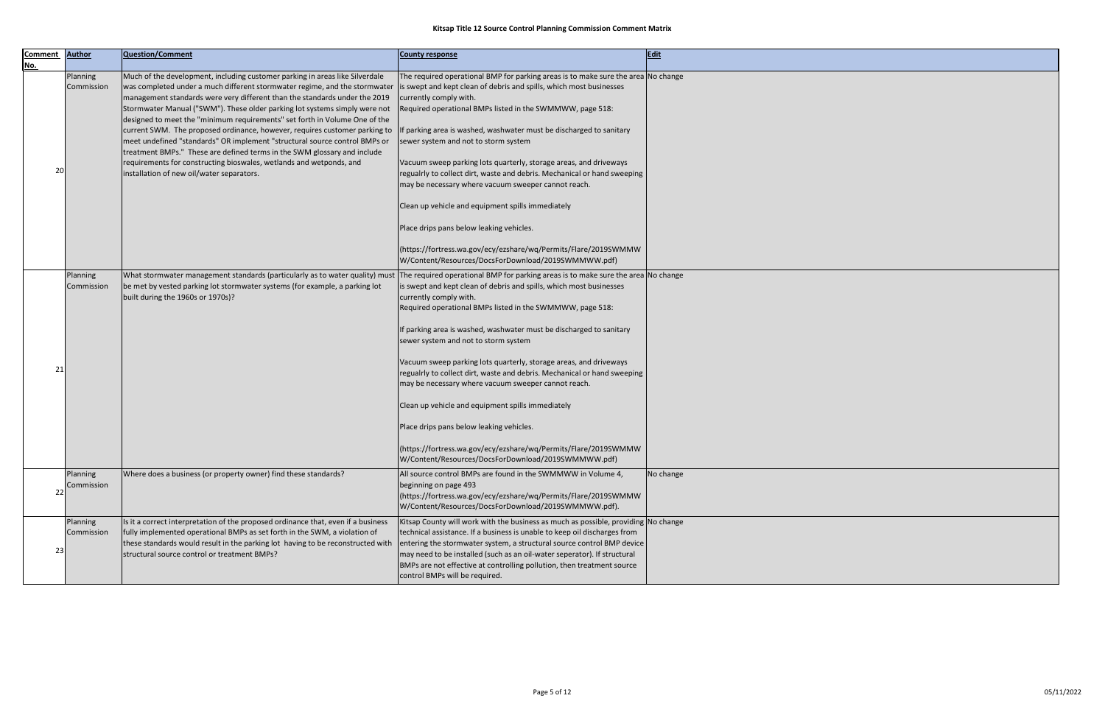| <b>Comment</b>   | <b>Author</b>          | Question/Comment                                                                                                                                                                                                                                                                                                                                                                                                                                                                                                                                                                                                                                                                                                                                                 | <b>County response</b>                                                                                                                                                                                                                                                                                                                                                                                                                                                                                                                                                                                                                                                                                                                                                                             | Edit      |
|------------------|------------------------|------------------------------------------------------------------------------------------------------------------------------------------------------------------------------------------------------------------------------------------------------------------------------------------------------------------------------------------------------------------------------------------------------------------------------------------------------------------------------------------------------------------------------------------------------------------------------------------------------------------------------------------------------------------------------------------------------------------------------------------------------------------|----------------------------------------------------------------------------------------------------------------------------------------------------------------------------------------------------------------------------------------------------------------------------------------------------------------------------------------------------------------------------------------------------------------------------------------------------------------------------------------------------------------------------------------------------------------------------------------------------------------------------------------------------------------------------------------------------------------------------------------------------------------------------------------------------|-----------|
| <u>No.</u><br>20 | Planning<br>Commission | Much of the development, including customer parking in areas like Silverdale<br>was completed under a much different stormwater regime, and the stormwater<br>management standards were very different than the standards under the 2019<br>Stormwater Manual ("SWM"). These older parking lot systems simply were not<br>designed to meet the "minimum requirements" set forth in Volume One of the<br>current SWM. The proposed ordinance, however, requires customer parking to<br>meet undefined "standards" OR implement "structural source control BMPs or<br>treatment BMPs." These are defined terms in the SWM glossary and include<br>requirements for constructing bioswales, wetlands and wetponds, and<br>installation of new oil/water separators. | The required operational BMP for parking areas is to make sure the area No change<br>is swept and kept clean of debris and spills, which most businesses<br>currently comply with.<br>Required operational BMPs listed in the SWMMWW, page 518:<br>If parking area is washed, washwater must be discharged to sanitary<br>sewer system and not to storm system<br>Vacuum sweep parking lots quarterly, storage areas, and driveways<br>regualrly to collect dirt, waste and debris. Mechanical or hand sweeping<br>may be necessary where vacuum sweeper cannot reach.<br>Clean up vehicle and equipment spills immediately                                                                                                                                                                        |           |
|                  |                        |                                                                                                                                                                                                                                                                                                                                                                                                                                                                                                                                                                                                                                                                                                                                                                  | Place drips pans below leaking vehicles.<br>(https://fortress.wa.gov/ecy/ezshare/wq/Permits/Flare/2019SWMMW<br>W/Content/Resources/DocsForDownload/2019SWMMWW.pdf)                                                                                                                                                                                                                                                                                                                                                                                                                                                                                                                                                                                                                                 |           |
| 21               | Planning<br>Commission | What stormwater management standards (particularly as to water quality) must<br>be met by vested parking lot stormwater systems (for example, a parking lot<br>built during the 1960s or 1970s)?                                                                                                                                                                                                                                                                                                                                                                                                                                                                                                                                                                 | The required operational BMP for parking areas is to make sure the area No change<br>is swept and kept clean of debris and spills, which most businesses<br>currently comply with.<br>Required operational BMPs listed in the SWMMWW, page 518:<br>If parking area is washed, washwater must be discharged to sanitary<br>sewer system and not to storm system<br>Vacuum sweep parking lots quarterly, storage areas, and driveways<br>regualrly to collect dirt, waste and debris. Mechanical or hand sweeping<br>may be necessary where vacuum sweeper cannot reach.<br>Clean up vehicle and equipment spills immediately<br>Place drips pans below leaking vehicles.<br> (https://fortress.wa.gov/ecy/ezshare/wq/Permits/Flare/2019SWMMW<br>W/Content/Resources/DocsForDownload/2019SWMMWW.pdf) |           |
| 22               | Planning<br>Commission | Where does a business (or property owner) find these standards?                                                                                                                                                                                                                                                                                                                                                                                                                                                                                                                                                                                                                                                                                                  | All source control BMPs are found in the SWMMWW in Volume 4,<br>beginning on page 493<br> (https://fortress.wa.gov/ecy/ezshare/wq/Permits/Flare/2019SWMMW  <br>W/Content/Resources/DocsForDownload/2019SWMMWW.pdf).                                                                                                                                                                                                                                                                                                                                                                                                                                                                                                                                                                                | No change |
| 23               | Planning<br>Commission | Is it a correct interpretation of the proposed ordinance that, even if a business<br>fully implemented operational BMPs as set forth in the SWM, a violation of<br>these standards would result in the parking lot having to be reconstructed with<br>structural source control or treatment BMPs?                                                                                                                                                                                                                                                                                                                                                                                                                                                               | Kitsap County will work with the business as much as possible, providing No change<br>technical assistance. If a business is unable to keep oil discharges from<br>entering the stormwater system, a structural source control BMP device<br>may need to be installed (such as an oil-water seperator). If structural<br>BMPs are not effective at controlling pollution, then treatment source<br>control BMPs will be required.                                                                                                                                                                                                                                                                                                                                                                  |           |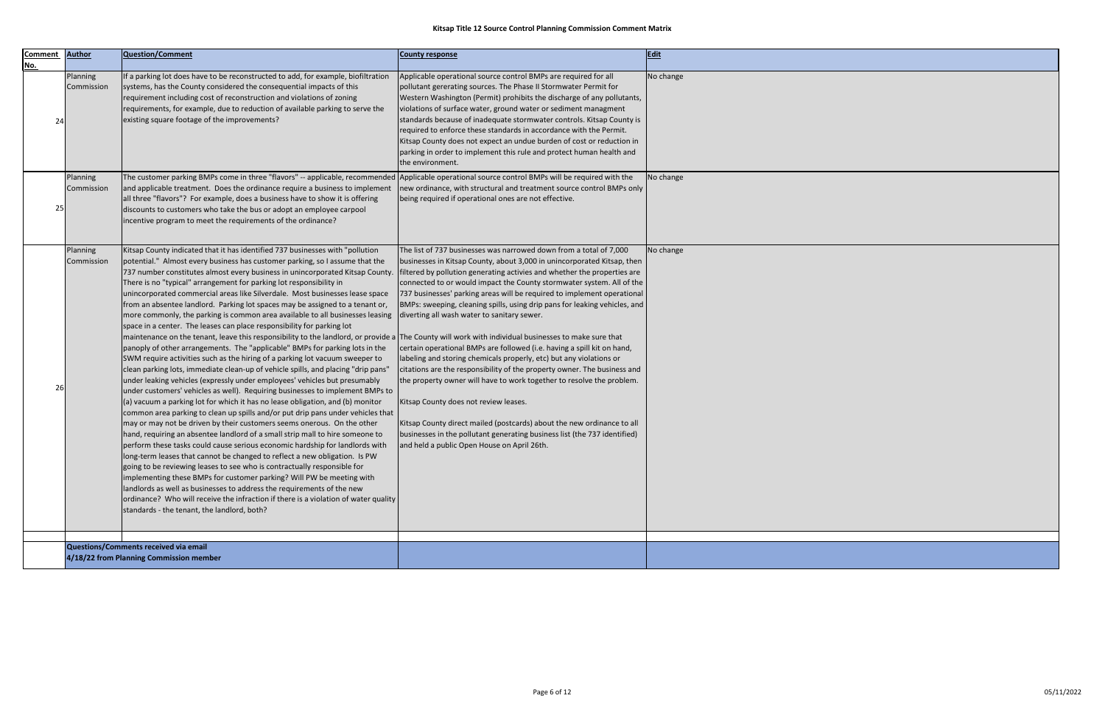| <b>Comment</b> | <b>Author</b>          | Question/Comment                                                                                                                                                                                                                                                                                                                                                                                                                                                                                                                                                                                                                                                                                                                                                                                                                                                                                                                                                                                                                                                                                                                                                                                                                                                                                                                                                                                                                                                                                                                                                                                                                                                                                                                                                                                                                                                                                                                                                                                                                                                                                  |                                                                                                                                                                                                                                                                                                                                                                                                                                                                                                                                                                                                                                                                                                                                                                                                                                                                                                                                                                                                                                                                  |             |
|----------------|------------------------|---------------------------------------------------------------------------------------------------------------------------------------------------------------------------------------------------------------------------------------------------------------------------------------------------------------------------------------------------------------------------------------------------------------------------------------------------------------------------------------------------------------------------------------------------------------------------------------------------------------------------------------------------------------------------------------------------------------------------------------------------------------------------------------------------------------------------------------------------------------------------------------------------------------------------------------------------------------------------------------------------------------------------------------------------------------------------------------------------------------------------------------------------------------------------------------------------------------------------------------------------------------------------------------------------------------------------------------------------------------------------------------------------------------------------------------------------------------------------------------------------------------------------------------------------------------------------------------------------------------------------------------------------------------------------------------------------------------------------------------------------------------------------------------------------------------------------------------------------------------------------------------------------------------------------------------------------------------------------------------------------------------------------------------------------------------------------------------------------|------------------------------------------------------------------------------------------------------------------------------------------------------------------------------------------------------------------------------------------------------------------------------------------------------------------------------------------------------------------------------------------------------------------------------------------------------------------------------------------------------------------------------------------------------------------------------------------------------------------------------------------------------------------------------------------------------------------------------------------------------------------------------------------------------------------------------------------------------------------------------------------------------------------------------------------------------------------------------------------------------------------------------------------------------------------|-------------|
| No.            |                        |                                                                                                                                                                                                                                                                                                                                                                                                                                                                                                                                                                                                                                                                                                                                                                                                                                                                                                                                                                                                                                                                                                                                                                                                                                                                                                                                                                                                                                                                                                                                                                                                                                                                                                                                                                                                                                                                                                                                                                                                                                                                                                   | <b>County response</b>                                                                                                                                                                                                                                                                                                                                                                                                                                                                                                                                                                                                                                                                                                                                                                                                                                                                                                                                                                                                                                           | <b>Edit</b> |
| 24             | Planning<br>Commission | If a parking lot does have to be reconstructed to add, for example, biofiltration<br>systems, has the County considered the consequential impacts of this<br>requirement including cost of reconstruction and violations of zoning<br>requirements, for example, due to reduction of available parking to serve the<br>existing square footage of the improvements?                                                                                                                                                                                                                                                                                                                                                                                                                                                                                                                                                                                                                                                                                                                                                                                                                                                                                                                                                                                                                                                                                                                                                                                                                                                                                                                                                                                                                                                                                                                                                                                                                                                                                                                               | Applicable operational source control BMPs are required for all<br>pollutant gererating sources. The Phase II Stormwater Permit for<br>Western Washington (Permit) prohibits the discharge of any pollutants,<br>violations of surface water, ground water or sediment managment<br>standards because of inadequate stormwater controls. Kitsap County is<br>required to enforce these standards in accordance with the Permit.<br>Kitsap County does not expect an undue burden of cost or reduction in<br>parking in order to implement this rule and protect human health and<br>the environment.                                                                                                                                                                                                                                                                                                                                                                                                                                                             | No change   |
| 25             | Planning<br>Commission | The customer parking BMPs come in three "flavors" -- applicable, recommended Applicable operational source control BMPs will be required with the<br>and applicable treatment. Does the ordinance require a business to implement<br>all three "flavors"? For example, does a business have to show it is offering<br>discounts to customers who take the bus or adopt an employee carpool<br>incentive program to meet the requirements of the ordinance?                                                                                                                                                                                                                                                                                                                                                                                                                                                                                                                                                                                                                                                                                                                                                                                                                                                                                                                                                                                                                                                                                                                                                                                                                                                                                                                                                                                                                                                                                                                                                                                                                                        | new ordinance, with structural and treatment source control BMPs only  <br>being required if operational ones are not effective.                                                                                                                                                                                                                                                                                                                                                                                                                                                                                                                                                                                                                                                                                                                                                                                                                                                                                                                                 | No change   |
| 26             | Planning<br>Commission | Kitsap County indicated that it has identified 737 businesses with "pollution<br>potential." Almost every business has customer parking, so I assume that the<br>737 number constitutes almost every business in unincorporated Kitsap County.<br>There is no "typical" arrangement for parking lot responsibility in<br>unincorporated commercial areas like Silverdale. Most businesses lease space<br>from an absentee landlord. Parking lot spaces may be assigned to a tenant or,<br>more commonly, the parking is common area available to all businesses leasing<br>space in a center. The leases can place responsibility for parking lot<br>maintenance on the tenant, leave this responsibility to the landlord, or provide a The County will work with individual businesses to make sure that<br>panoply of other arrangements. The "applicable" BMPs for parking lots in the<br>SWM require activities such as the hiring of a parking lot vacuum sweeper to<br>clean parking lots, immediate clean-up of vehicle spills, and placing "drip pans"<br>under leaking vehicles (expressly under employees' vehicles but presumably<br>under customers' vehicles as well). Requiring businesses to implement BMPs to<br>(a) vacuum a parking lot for which it has no lease obligation, and (b) monitor<br>common area parking to clean up spills and/or put drip pans under vehicles that<br>may or may not be driven by their customers seems onerous. On the other<br>hand, requiring an absentee landlord of a small strip mall to hire someone to<br>perform these tasks could cause serious economic hardship for landlords with<br>long-term leases that cannot be changed to reflect a new obligation. Is PW<br>going to be reviewing leases to see who is contractually responsible for<br>implementing these BMPs for customer parking? Will PW be meeting with<br>landlords as well as businesses to address the requirements of the new<br>ordinance? Who will receive the infraction if there is a violation of water quality<br>standards - the tenant, the landlord, both? | The list of 737 businesses was narrowed down from a total of 7,000<br>businesses in Kitsap County, about 3,000 in unincorporated Kitsap, then<br>filtered by pollution generating activies and whether the properties are<br>connected to or would impact the County stormwater system. All of the<br>737 businesses' parking areas will be required to implement operational<br>BMPs: sweeping, cleaning spills, using drip pans for leaking vehicles, and<br>diverting all wash water to sanitary sewer.<br>certain operational BMPs are followed (i.e. having a spill kit on hand,<br>labeling and storing chemicals properly, etc) but any violations or<br>citations are the responsibility of the property owner. The business and<br>the property owner will have to work together to resolve the problem.<br>Kitsap County does not review leases.<br>Kitsap County direct mailed (postcards) about the new ordinance to all<br>businesses in the pollutant generating business list (the 737 identified)<br>and held a public Open House on April 26th. | No change   |
|                |                        | Questions/Comments received via email                                                                                                                                                                                                                                                                                                                                                                                                                                                                                                                                                                                                                                                                                                                                                                                                                                                                                                                                                                                                                                                                                                                                                                                                                                                                                                                                                                                                                                                                                                                                                                                                                                                                                                                                                                                                                                                                                                                                                                                                                                                             |                                                                                                                                                                                                                                                                                                                                                                                                                                                                                                                                                                                                                                                                                                                                                                                                                                                                                                                                                                                                                                                                  |             |
|                |                        | 4/18/22 from Planning Commission member                                                                                                                                                                                                                                                                                                                                                                                                                                                                                                                                                                                                                                                                                                                                                                                                                                                                                                                                                                                                                                                                                                                                                                                                                                                                                                                                                                                                                                                                                                                                                                                                                                                                                                                                                                                                                                                                                                                                                                                                                                                           |                                                                                                                                                                                                                                                                                                                                                                                                                                                                                                                                                                                                                                                                                                                                                                                                                                                                                                                                                                                                                                                                  |             |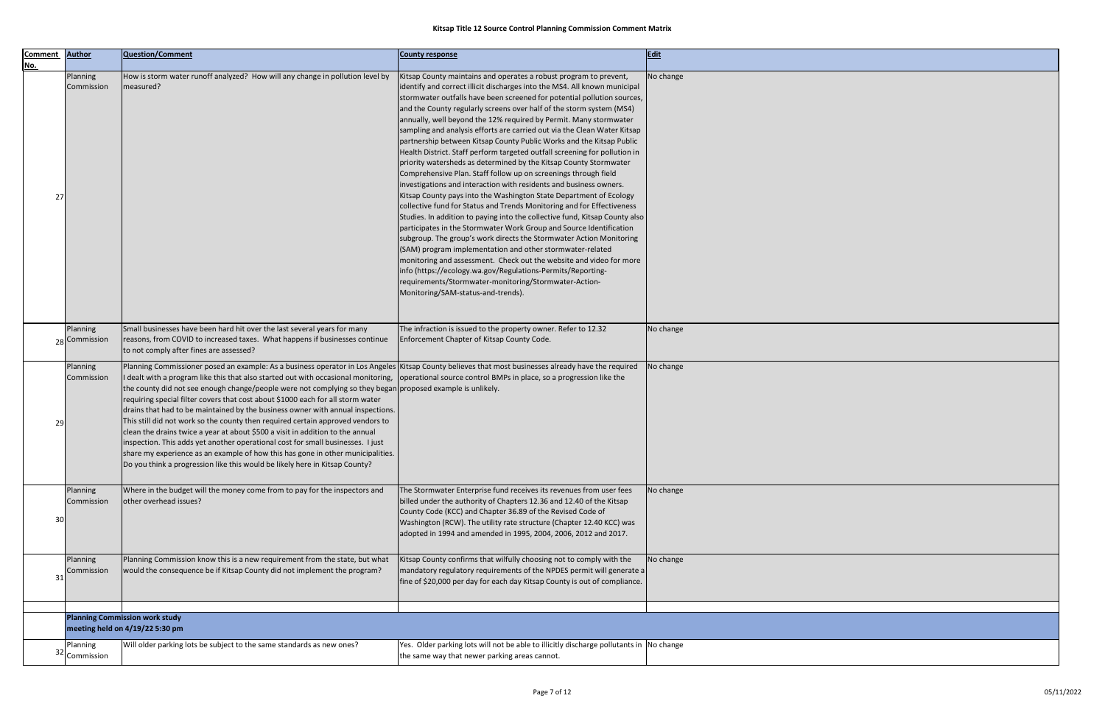| <b>Comment</b> | <b>Author</b>             | Question/Comment                                                                                                                                                                                                                                                                                                                                                                                                                                                                                                                                                                                                                                                                                                                                                                                                                                                                                                                                                                                                             | <b>County response</b>                                                                                                                                                                                                                                                                                                                                                                                                                                                                                                                                                                                                                                                                                                                                                                                                 | Edit      |
|----------------|---------------------------|------------------------------------------------------------------------------------------------------------------------------------------------------------------------------------------------------------------------------------------------------------------------------------------------------------------------------------------------------------------------------------------------------------------------------------------------------------------------------------------------------------------------------------------------------------------------------------------------------------------------------------------------------------------------------------------------------------------------------------------------------------------------------------------------------------------------------------------------------------------------------------------------------------------------------------------------------------------------------------------------------------------------------|------------------------------------------------------------------------------------------------------------------------------------------------------------------------------------------------------------------------------------------------------------------------------------------------------------------------------------------------------------------------------------------------------------------------------------------------------------------------------------------------------------------------------------------------------------------------------------------------------------------------------------------------------------------------------------------------------------------------------------------------------------------------------------------------------------------------|-----------|
| <u>No.</u>     | Planning<br>Commission    | How is storm water runoff analyzed? How will any change in pollution level by<br>measured?                                                                                                                                                                                                                                                                                                                                                                                                                                                                                                                                                                                                                                                                                                                                                                                                                                                                                                                                   | Kitsap County maintains and operates a robust program to prevent,<br>identify and correct illicit discharges into the MS4. All known municipal<br>stormwater outfalls have been screened for potential pollution sources,<br>and the County regularly screens over half of the storm system (MS4)<br>annually, well beyond the 12% required by Permit. Many stormwater<br>sampling and analysis efforts are carried out via the Clean Water Kitsap<br>partnership between Kitsap County Public Works and the Kitsap Public<br>Health District. Staff perform targeted outfall screening for pollution in<br>priority watersheds as determined by the Kitsap County Stormwater<br>Comprehensive Plan. Staff follow up on screenings through field<br>investigations and interaction with residents and business owners. | No change |
| 27             |                           |                                                                                                                                                                                                                                                                                                                                                                                                                                                                                                                                                                                                                                                                                                                                                                                                                                                                                                                                                                                                                              | Kitsap County pays into the Washington State Department of Ecology<br>collective fund for Status and Trends Monitoring and for Effectiveness<br>Studies. In addition to paying into the collective fund, Kitsap County also<br>participates in the Stormwater Work Group and Source Identification<br>subgroup. The group's work directs the Stormwater Action Monitoring<br>(SAM) program implementation and other stormwater-related<br>monitoring and assessment. Check out the website and video for more<br>info (https://ecology.wa.gov/Regulations-Permits/Reporting-<br>requirements/Stormwater-monitoring/Stormwater-Action-<br>Monitoring/SAM-status-and-trends).                                                                                                                                            |           |
|                | Planning<br>28 Commission | Small businesses have been hard hit over the last several years for many<br>reasons, from COVID to increased taxes. What happens if businesses continue<br>to not comply after fines are assessed?                                                                                                                                                                                                                                                                                                                                                                                                                                                                                                                                                                                                                                                                                                                                                                                                                           | The infraction is issued to the property owner. Refer to 12.32<br>Enforcement Chapter of Kitsap County Code.                                                                                                                                                                                                                                                                                                                                                                                                                                                                                                                                                                                                                                                                                                           | No change |
| 29             | Planning<br>Commission    | Planning Commissioner posed an example: As a business operator in Los Angeles Kitsap County believes that most businesses already have the required<br>I dealt with a program like this that also started out with occasional monitoring,  operational source control BMPs in place, so a progression like the<br>the county did not see enough change/people were not complying so they began proposed example is unlikely.<br>requiring special filter covers that cost about \$1000 each for all storm water<br>drains that had to be maintained by the business owner with annual inspections.<br>This still did not work so the county then required certain approved vendors to<br>clean the drains twice a year at about \$500 a visit in addition to the annual<br>inspection. This adds yet another operational cost for small businesses. I just<br>share my experience as an example of how this has gone in other municipalities.<br>Do you think a progression like this would be likely here in Kitsap County? |                                                                                                                                                                                                                                                                                                                                                                                                                                                                                                                                                                                                                                                                                                                                                                                                                        | No change |
| 30             | Planning<br>Commission    | Where in the budget will the money come from to pay for the inspectors and<br>other overhead issues?                                                                                                                                                                                                                                                                                                                                                                                                                                                                                                                                                                                                                                                                                                                                                                                                                                                                                                                         | The Stormwater Enterprise fund receives its revenues from user fees<br>billed under the authority of Chapters 12.36 and 12.40 of the Kitsap<br>County Code (KCC) and Chapter 36.89 of the Revised Code of<br>Washington (RCW). The utility rate structure (Chapter 12.40 KCC) was<br>adopted in 1994 and amended in 1995, 2004, 2006, 2012 and 2017.                                                                                                                                                                                                                                                                                                                                                                                                                                                                   | No change |
| 31             | Planning<br>Commission    | Planning Commission know this is a new requirement from the state, but what<br>would the consequence be if Kitsap County did not implement the program?                                                                                                                                                                                                                                                                                                                                                                                                                                                                                                                                                                                                                                                                                                                                                                                                                                                                      | Kitsap County confirms that wilfully choosing not to comply with the<br>mandatory regulatory requirements of the NPDES permit will generate a<br>fine of \$20,000 per day for each day Kitsap County is out of compliance.                                                                                                                                                                                                                                                                                                                                                                                                                                                                                                                                                                                             | No change |
|                |                           | <b>Planning Commission work study</b>                                                                                                                                                                                                                                                                                                                                                                                                                                                                                                                                                                                                                                                                                                                                                                                                                                                                                                                                                                                        |                                                                                                                                                                                                                                                                                                                                                                                                                                                                                                                                                                                                                                                                                                                                                                                                                        |           |
|                |                           | meeting held on 4/19/22 5:30 pm                                                                                                                                                                                                                                                                                                                                                                                                                                                                                                                                                                                                                                                                                                                                                                                                                                                                                                                                                                                              |                                                                                                                                                                                                                                                                                                                                                                                                                                                                                                                                                                                                                                                                                                                                                                                                                        |           |
|                | Planning<br>32 Commission | Will older parking lots be subject to the same standards as new ones?                                                                                                                                                                                                                                                                                                                                                                                                                                                                                                                                                                                                                                                                                                                                                                                                                                                                                                                                                        | Yes. Older parking lots will not be able to illicitly discharge pollutants in No change<br>the same way that newer parking areas cannot.                                                                                                                                                                                                                                                                                                                                                                                                                                                                                                                                                                                                                                                                               |           |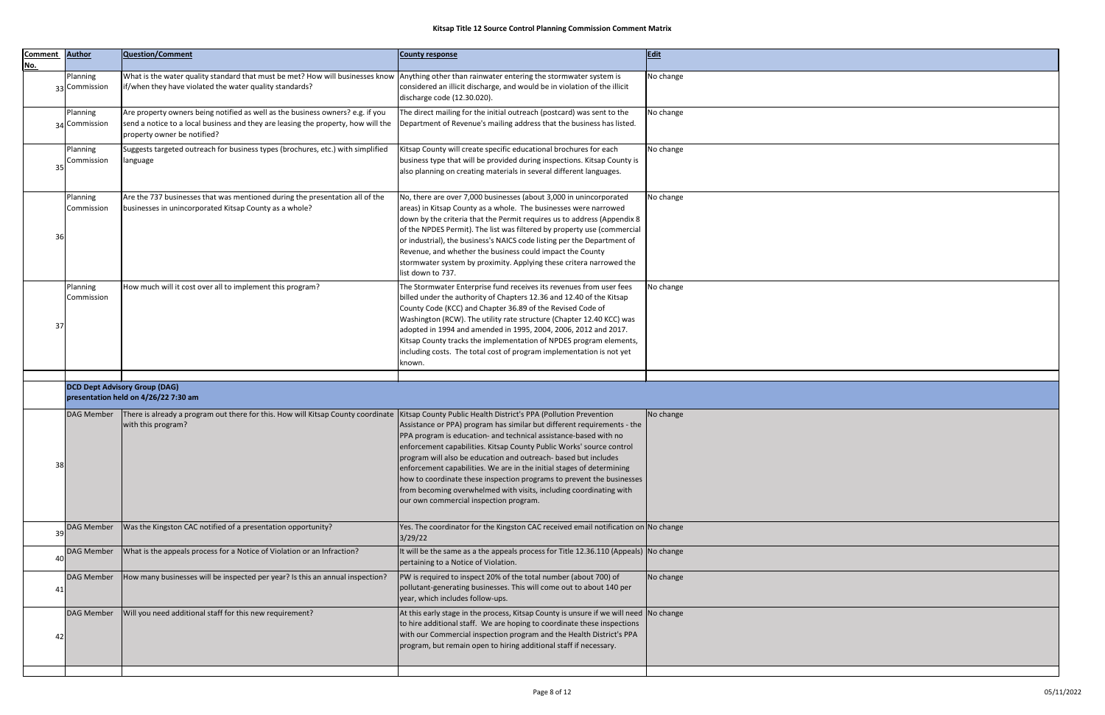| <b>Comment</b><br>No. | <b>Author</b>             | Question/Comment                                                                                                                                                                                          | <b>County response</b>                                                                                                                                                                                                                                                                                                                                                                                                                                                                                                                                   | Edit      |
|-----------------------|---------------------------|-----------------------------------------------------------------------------------------------------------------------------------------------------------------------------------------------------------|----------------------------------------------------------------------------------------------------------------------------------------------------------------------------------------------------------------------------------------------------------------------------------------------------------------------------------------------------------------------------------------------------------------------------------------------------------------------------------------------------------------------------------------------------------|-----------|
|                       | Planning<br>33 Commission | What is the water quality standard that must be met? How will businesses know  Anything other than rainwater entering the stormwater system is<br>if/when they have violated the water quality standards? | considered an illicit discharge, and would be in violation of the illicit<br>discharge code (12.30.020).                                                                                                                                                                                                                                                                                                                                                                                                                                                 | No change |
|                       | Planning<br>34 Commission | Are property owners being notified as well as the business owners? e.g. if you<br>send a notice to a local business and they are leasing the property, how will the<br>property owner be notified?        | The direct mailing for the initial outreach (postcard) was sent to the<br>Department of Revenue's mailing address that the business has listed.                                                                                                                                                                                                                                                                                                                                                                                                          | No change |
| 35                    | Planning<br>Commission    | Suggests targeted outreach for business types (brochures, etc.) with simplified<br>language                                                                                                               | Kitsap County will create specific educational brochures for each<br>business type that will be provided during inspections. Kitsap County is<br>also planning on creating materials in several different languages.                                                                                                                                                                                                                                                                                                                                     | No change |
| 36                    | Planning<br>Commission    | Are the 737 businesses that was mentioned during the presentation all of the<br>businesses in unincorporated Kitsap County as a whole?                                                                    | No, there are over 7,000 businesses (about 3,000 in unincorporated<br>areas) in Kitsap County as a whole. The businesses were narrowed<br>down by the criteria that the Permit requires us to address (Appendix 8<br>of the NPDES Permit). The list was filtered by property use (commercial<br>or industrial), the business's NAICS code listing per the Department of<br>Revenue, and whether the business could impact the County<br>stormwater system by proximity. Applying these critera narrowed the<br>list down to 737.                         | No change |
| 37                    | Planning<br>Commission    | How much will it cost over all to implement this program?                                                                                                                                                 | The Stormwater Enterprise fund receives its revenues from user fees<br>billed under the authority of Chapters 12.36 and 12.40 of the Kitsap<br>County Code (KCC) and Chapter 36.89 of the Revised Code of<br>Washington (RCW). The utility rate structure (Chapter 12.40 KCC) was<br>adopted in 1994 and amended in 1995, 2004, 2006, 2012 and 2017.<br>Kitsap County tracks the implementation of NPDES program elements,<br>including costs. The total cost of program implementation is not yet<br>known.                                             | No change |
|                       |                           | <b>DCD Dept Advisory Group (DAG)</b><br>presentation held on 4/26/22 7:30 am                                                                                                                              |                                                                                                                                                                                                                                                                                                                                                                                                                                                                                                                                                          |           |
| 38                    | DAG Member                | There is already a program out there for this. How will Kitsap County coordinate Kitsap County Public Health District's PPA (Pollution Prevention<br>with this program?                                   | Assistance or PPA) program has similar but different requirements - the<br>PPA program is education- and technical assistance-based with no<br>enforcement capabilities. Kitsap County Public Works' source control<br>program will also be education and outreach- based but includes<br>enforcement capabilities. We are in the initial stages of determining<br>how to coordinate these inspection programs to prevent the businesses<br>from becoming overwhelmed with visits, including coordinating with<br>our own commercial inspection program. | No change |
| 39                    | DAG Member                | Was the Kingston CAC notified of a presentation opportunity?                                                                                                                                              | Yes. The coordinator for the Kingston CAC received email notification on No change<br>3/29/22                                                                                                                                                                                                                                                                                                                                                                                                                                                            |           |
| 40                    | DAG Member                | What is the appeals process for a Notice of Violation or an Infraction?                                                                                                                                   | It will be the same as a the appeals process for Title 12.36.110 (Appeals) No change<br>pertaining to a Notice of Violation.                                                                                                                                                                                                                                                                                                                                                                                                                             |           |
| 41                    | <b>DAG Member</b>         | How many businesses will be inspected per year? Is this an annual inspection?                                                                                                                             | PW is required to inspect 20% of the total number (about 700) of<br>pollutant-generating businesses. This will come out to about 140 per<br>year, which includes follow-ups.                                                                                                                                                                                                                                                                                                                                                                             | No change |
| 42                    | <b>DAG Member</b>         | Will you need additional staff for this new requirement?                                                                                                                                                  | At this early stage in the process, Kitsap County is unsure if we will need $\vert$ No change<br>to hire additional staff. We are hoping to coordinate these inspections<br>with our Commercial inspection program and the Health District's PPA<br>program, but remain open to hiring additional staff if necessary.                                                                                                                                                                                                                                    |           |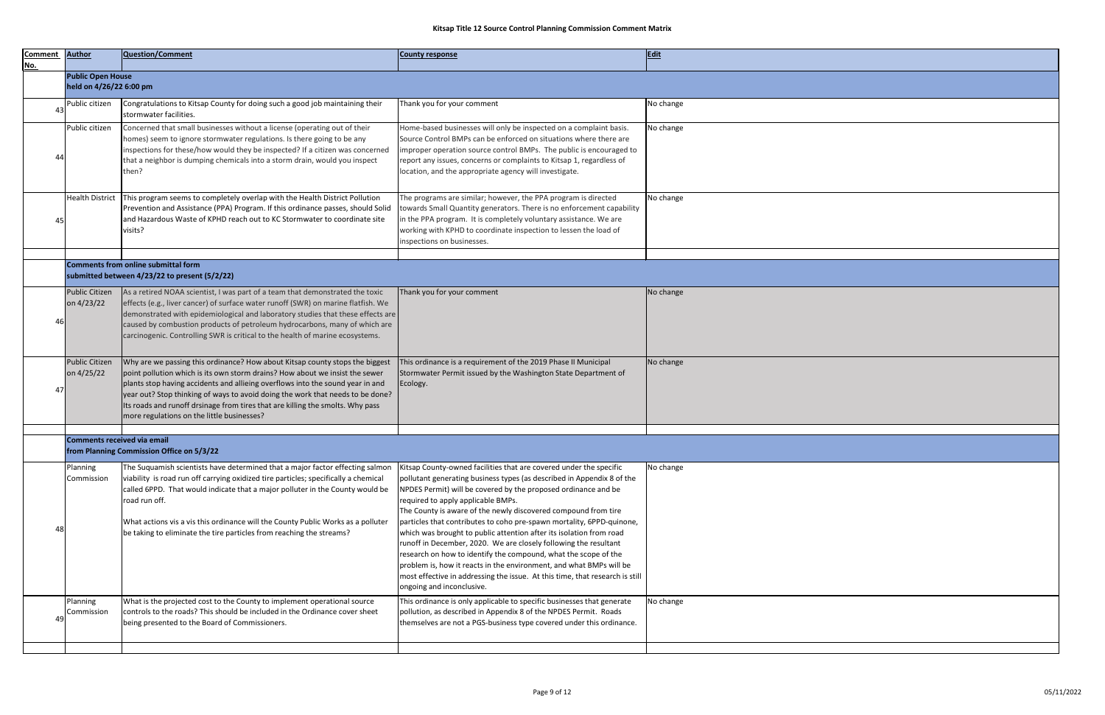| <b>Comment</b> | <b>Author</b>                      | Question/Comment                                                                                                                                                                                                                                                                                                                                                                                                                                                 | <b>County response</b>                                                                                                                                                                                                                                                                                                                                                                                                                                                                                                                                                                                        | <b>Edit</b> |
|----------------|------------------------------------|------------------------------------------------------------------------------------------------------------------------------------------------------------------------------------------------------------------------------------------------------------------------------------------------------------------------------------------------------------------------------------------------------------------------------------------------------------------|---------------------------------------------------------------------------------------------------------------------------------------------------------------------------------------------------------------------------------------------------------------------------------------------------------------------------------------------------------------------------------------------------------------------------------------------------------------------------------------------------------------------------------------------------------------------------------------------------------------|-------------|
| <u>No.</u>     |                                    |                                                                                                                                                                                                                                                                                                                                                                                                                                                                  |                                                                                                                                                                                                                                                                                                                                                                                                                                                                                                                                                                                                               |             |
|                | <b>Public Open House</b>           |                                                                                                                                                                                                                                                                                                                                                                                                                                                                  |                                                                                                                                                                                                                                                                                                                                                                                                                                                                                                                                                                                                               |             |
|                | held on 4/26/22 6:00 pm            |                                                                                                                                                                                                                                                                                                                                                                                                                                                                  |                                                                                                                                                                                                                                                                                                                                                                                                                                                                                                                                                                                                               |             |
| 43             | Public citizen                     | Congratulations to Kitsap County for doing such a good job maintaining their<br>stormwater facilities.                                                                                                                                                                                                                                                                                                                                                           | Thank you for your comment                                                                                                                                                                                                                                                                                                                                                                                                                                                                                                                                                                                    | No change   |
| 44             | Public citizen                     | Concerned that small businesses without a license (operating out of their<br>homes) seem to ignore stormwater regulations. Is there going to be any<br>inspections for these/how would they be inspected? If a citizen was concerned<br>that a neighbor is dumping chemicals into a storm drain, would you inspect<br>then?                                                                                                                                      | Home-based businesses will only be inspected on a complaint basis.<br>Source Control BMPs can be enforced on situations where there are<br>improper operation source control BMPs. The public is encouraged to<br>report any issues, concerns or complaints to Kitsap 1, regardless of<br>location, and the appropriate agency will investigate.                                                                                                                                                                                                                                                              | No change   |
| 45             | <b>Health District</b>             | This program seems to completely overlap with the Health District Pollution<br>Prevention and Assistance (PPA) Program. If this ordinance passes, should Solid<br>and Hazardous Waste of KPHD reach out to KC Stormwater to coordinate site<br>visits?                                                                                                                                                                                                           | The programs are similar; however, the PPA program is directed<br>towards Small Quantity generators. There is no enforcement capability<br>in the PPA program. It is completely voluntary assistance. We are<br>working with KPHD to coordinate inspection to lessen the load of<br>inspections on businesses.                                                                                                                                                                                                                                                                                                | No change   |
|                |                                    | <b>Comments from online submittal form</b><br>submitted between 4/23/22 to present (5/2/22)                                                                                                                                                                                                                                                                                                                                                                      |                                                                                                                                                                                                                                                                                                                                                                                                                                                                                                                                                                                                               |             |
| 46             | Public Citizen<br>on 4/23/22       | As a retired NOAA scientist, I was part of a team that demonstrated the toxic<br>effects (e.g., liver cancer) of surface water runoff (SWR) on marine flatfish. We<br>demonstrated with epidemiological and laboratory studies that these effects are<br>caused by combustion products of petroleum hydrocarbons, many of which are<br>carcinogenic. Controlling SWR is critical to the health of marine ecosystems.                                             | Thank you for your comment                                                                                                                                                                                                                                                                                                                                                                                                                                                                                                                                                                                    | No change   |
| 47             | Public Citizen<br>on 4/25/22       | Why are we passing this ordinance? How about Kitsap county stops the biggest<br>point pollution which is its own storm drains? How about we insist the sewer<br>plants stop having accidents and allieing overflows into the sound year in and<br>year out? Stop thinking of ways to avoid doing the work that needs to be done?<br>Its roads and runoff drsinage from tires that are killing the smolts. Why pass<br>more regulations on the little businesses? | This ordinance is a requirement of the 2019 Phase II Municipal<br>Stormwater Permit issued by the Washington State Department of<br>Ecology.                                                                                                                                                                                                                                                                                                                                                                                                                                                                  | No change   |
|                |                                    |                                                                                                                                                                                                                                                                                                                                                                                                                                                                  |                                                                                                                                                                                                                                                                                                                                                                                                                                                                                                                                                                                                               |             |
|                | <b>Comments received via email</b> | from Planning Commission Office on 5/3/22                                                                                                                                                                                                                                                                                                                                                                                                                        |                                                                                                                                                                                                                                                                                                                                                                                                                                                                                                                                                                                                               |             |
| 48             | Planning<br>Commission             | The Suquamish scientists have determined that a major factor effecting salmon<br>viability is road run off carrying oxidized tire particles; specifically a chemical<br>called 6PPD. That would indicate that a major polluter in the County would be<br>road run off.<br>What actions vis a vis this ordinance will the County Public Works as a polluter<br>be taking to eliminate the tire particles from reaching the streams?                               | Kitsap County-owned facilities that are covered under the specific<br>pollutant generating business types (as described in Appendix 8 of the<br>NPDES Permit) will be covered by the proposed ordinance and be<br>required to apply applicable BMPs.<br>The County is aware of the newly discovered compound from tire<br>particles that contributes to coho pre-spawn mortality, 6PPD-quinone,<br>which was brought to public attention after its isolation from road<br>runoff in December, 2020. We are closely following the resultant<br>research on how to identify the compound, what the scope of the | No change   |
|                | Planning                           |                                                                                                                                                                                                                                                                                                                                                                                                                                                                  | problem is, how it reacts in the environment, and what BMPs will be<br>most effective in addressing the issue. At this time, that research is still<br>ongoing and inconclusive.<br>This ordinance is only applicable to specific businesses that generate                                                                                                                                                                                                                                                                                                                                                    |             |
| 49             | Commission                         | What is the projected cost to the County to implement operational source<br>controls to the roads? This should be included in the Ordinance cover sheet<br>being presented to the Board of Commissioners.                                                                                                                                                                                                                                                        | pollution, as described in Appendix 8 of the NPDES Permit. Roads<br>themselves are not a PGS-business type covered under this ordinance.                                                                                                                                                                                                                                                                                                                                                                                                                                                                      | No change   |
|                |                                    |                                                                                                                                                                                                                                                                                                                                                                                                                                                                  |                                                                                                                                                                                                                                                                                                                                                                                                                                                                                                                                                                                                               |             |

|                                    | Edit      |
|------------------------------------|-----------|
|                                    |           |
|                                    | No change |
| $\sum_{i=1}^{n}$<br>e<br>d to      | No change |
| ility                              | No change |
|                                    |           |
|                                    | No change |
|                                    | No change |
|                                    |           |
| the                                | No change |
| )ne,                               |           |
| e<br>$\overline{\mathsf{s}}$ still |           |
| $\overline{e}$<br>ice.             | No change |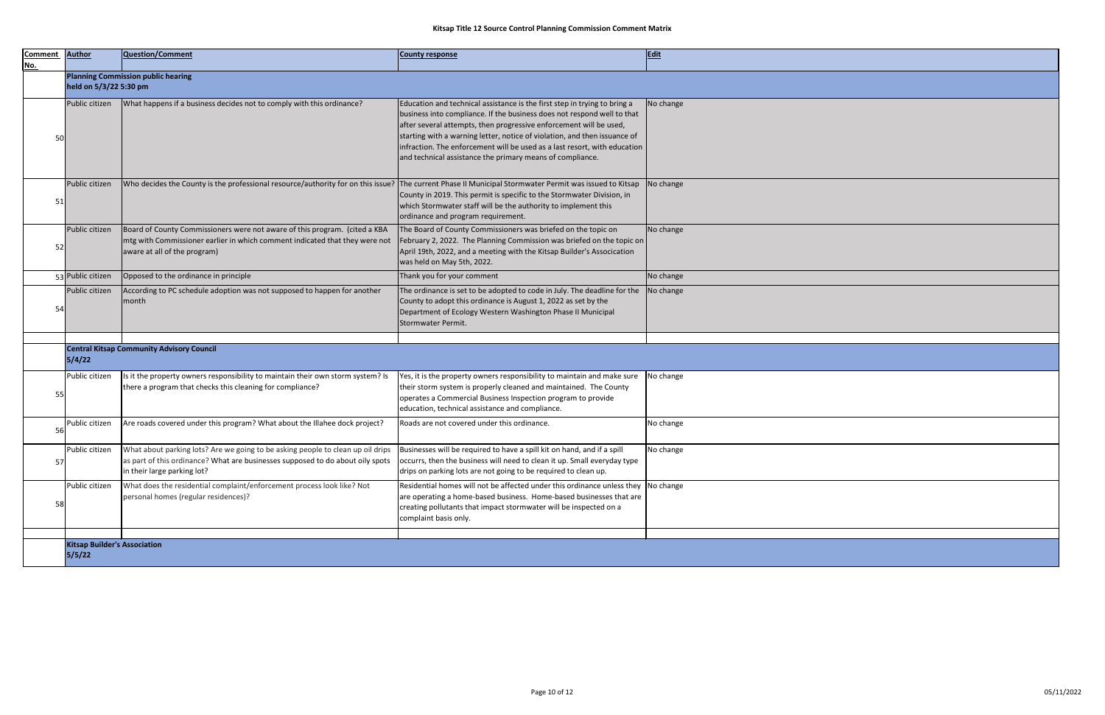|    | <b>Author</b>          | <b>Question/Comment</b>                                                                                                                                                                          | <b>County response</b>                                                                                                                                                                                                                                                                                                                                                                                                                            | <b>Edit</b> |
|----|------------------------|--------------------------------------------------------------------------------------------------------------------------------------------------------------------------------------------------|---------------------------------------------------------------------------------------------------------------------------------------------------------------------------------------------------------------------------------------------------------------------------------------------------------------------------------------------------------------------------------------------------------------------------------------------------|-------------|
|    |                        | <b>Planning Commission public hearing</b>                                                                                                                                                        |                                                                                                                                                                                                                                                                                                                                                                                                                                                   |             |
|    | held on 5/3/22 5:30 pm |                                                                                                                                                                                                  |                                                                                                                                                                                                                                                                                                                                                                                                                                                   |             |
| 50 | Public citizen         | What happens if a business decides not to comply with this ordinance?                                                                                                                            | Education and technical assistance is the first step in trying to bring a<br>business into compliance. If the business does not respond well to that<br>after several attempts, then progressive enforcement will be used,<br>starting with a warning letter, notice of violation, and then issuance of<br>infraction. The enforcement will be used as a last resort, with education<br>and technical assistance the primary means of compliance. | No change   |
| 51 | Public citizen         | Who decides the County is the professional resource/authority for on this issue?                                                                                                                 | The current Phase II Municipal Stormwater Permit was issued to Kitsap<br>County in 2019. This permit is specific to the Stormwater Division, in<br>which Stormwater staff will be the authority to implement this<br>ordinance and program requirement.                                                                                                                                                                                           | No change   |
| 52 | Public citizen         | Board of County Commissioners were not aware of this program. (cited a KBA<br>mtg with Commissioner earlier in which comment indicated that they were not<br>aware at all of the program)        | The Board of County Commissioners was briefed on the topic on<br>February 2, 2022. The Planning Commission was briefed on the topic on<br>April 19th, 2022, and a meeting with the Kitsap Builder's Assocication<br>was held on May 5th, 2022.                                                                                                                                                                                                    | No change   |
|    | 53 Public citizen      | Opposed to the ordinance in principle                                                                                                                                                            | Thank you for your comment                                                                                                                                                                                                                                                                                                                                                                                                                        | No change   |
| 54 | Public citizen         | According to PC schedule adoption was not supposed to happen for another<br>month                                                                                                                | The ordinance is set to be adopted to code in July. The deadline for the<br>County to adopt this ordinance is August 1, 2022 as set by the<br>Department of Ecology Western Washington Phase II Municipal<br>Stormwater Permit.                                                                                                                                                                                                                   | No change   |
|    |                        |                                                                                                                                                                                                  |                                                                                                                                                                                                                                                                                                                                                                                                                                                   |             |
|    | 5/4/22                 | <b>Central Kitsap Community Advisory Council</b>                                                                                                                                                 |                                                                                                                                                                                                                                                                                                                                                                                                                                                   |             |
| 55 | Public citizen         | Is it the property owners responsibility to maintain their own storm system? Is<br>there a program that checks this cleaning for compliance?                                                     | Yes, it is the property owners responsibility to maintain and make sure<br>their storm system is properly cleaned and maintained. The County<br>operates a Commercial Business Inspection program to provide<br>education, technical assistance and compliance.                                                                                                                                                                                   | No change   |
| 56 | Public citizen         | Are roads covered under this program? What about the Illahee dock project?                                                                                                                       | Roads are not covered under this ordinance.                                                                                                                                                                                                                                                                                                                                                                                                       | No change   |
| 57 | Public citizen         | What about parking lots? Are we going to be asking people to clean up oil drips<br>as part of this ordinance? What are businesses supposed to do about oily spots<br>in their large parking lot? | Businesses will be required to have a spill kit on hand, and if a spill<br>occurrs, then the business will need to clean it up. Small everyday type<br>drips on parking lots are not going to be required to clean up.                                                                                                                                                                                                                            | No change   |
|    | Public citizen         | What does the residential complaint/enforcement process look like? Not<br>personal homes (regular residences)?                                                                                   | Residential homes will not be affected under this ordinance unless they<br>are operating a home-based business. Home-based businesses that are<br>creating pollutants that impact stormwater will be inspected on a                                                                                                                                                                                                                               | No change   |

|                                       | Edit      |
|---------------------------------------|-----------|
|                                       |           |
| $\mathbf{a}$<br>that<br>e of<br>ation | No change |
| tsap<br>in                            | No change |
| pic on $ $<br>ion                     | No change |
|                                       | No change |
| $r$ the                               | No change |
|                                       |           |
|                                       |           |
| sure<br>y                             | No change |
|                                       | No change |
| type                                  | No change |
| they<br>it are                        | No change |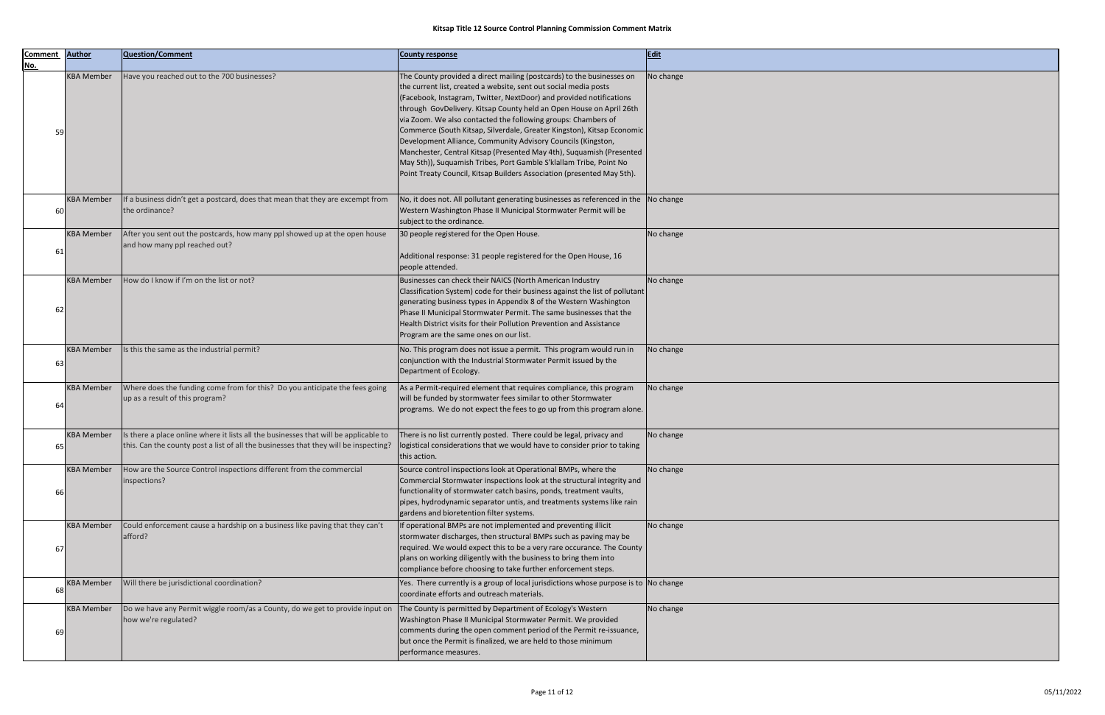| <b>Comment</b><br><u>No.</u> | <b>Author</b>     | Question/Comment                                                                                                                                                             | <b>County response</b>                                                                                                                                                                                                                                                                                                                                                                                                                                                                                                                                                                                                                                                                                                     | Edit      |
|------------------------------|-------------------|------------------------------------------------------------------------------------------------------------------------------------------------------------------------------|----------------------------------------------------------------------------------------------------------------------------------------------------------------------------------------------------------------------------------------------------------------------------------------------------------------------------------------------------------------------------------------------------------------------------------------------------------------------------------------------------------------------------------------------------------------------------------------------------------------------------------------------------------------------------------------------------------------------------|-----------|
| 59                           | <b>KBA Member</b> | Have you reached out to the 700 businesses?                                                                                                                                  | The County provided a direct mailing (postcards) to the businesses on<br>the current list, created a website, sent out social media posts<br>(Facebook, Instagram, Twitter, NextDoor) and provided notifications<br>through GovDelivery. Kitsap County held an Open House on April 26th<br>via Zoom. We also contacted the following groups: Chambers of<br>Commerce (South Kitsap, Silverdale, Greater Kingston), Kitsap Economic<br>Development Alliance, Community Advisory Councils (Kingston,<br>Manchester, Central Kitsap (Presented May 4th), Suquamish (Presented<br>May 5th)), Suquamish Tribes, Port Gamble S'klallam Tribe, Point No<br>Point Treaty Council, Kitsap Builders Association (presented May 5th). | No change |
| 60                           | <b>KBA Member</b> | If a business didn't get a postcard, does that mean that they are excempt from<br>the ordinance?                                                                             | No, it does not. All pollutant generating businesses as referenced in the $\vert$ No change<br>Western Washington Phase II Municipal Stormwater Permit will be<br>subject to the ordinance.                                                                                                                                                                                                                                                                                                                                                                                                                                                                                                                                |           |
| 61                           | <b>KBA Member</b> | After you sent out the postcards, how many ppl showed up at the open house<br>and how many ppl reached out?                                                                  | 30 people registered for the Open House.<br>Additional response: 31 people registered for the Open House, 16<br>people attended.                                                                                                                                                                                                                                                                                                                                                                                                                                                                                                                                                                                           | No change |
| 62                           | <b>KBA Member</b> | How do I know if I'm on the list or not?                                                                                                                                     | Businesses can check their NAICS (North American Industry<br>Classification System) code for their business against the list of pollutant<br>generating business types in Appendix 8 of the Western Washington<br>Phase II Municipal Stormwater Permit. The same businesses that the<br>Health District visits for their Pollution Prevention and Assistance<br>Program are the same ones on our list.                                                                                                                                                                                                                                                                                                                     | No change |
| 63                           | <b>KBA Member</b> | Is this the same as the industrial permit?                                                                                                                                   | No. This program does not issue a permit. This program would run in<br>conjunction with the Industrial Stormwater Permit issued by the<br>Department of Ecology.                                                                                                                                                                                                                                                                                                                                                                                                                                                                                                                                                           | No change |
| 64                           | <b>KBA Member</b> | Where does the funding come from for this? Do you anticipate the fees going<br>up as a result of this program?                                                               | As a Permit-required element that requires compliance, this program<br>will be funded by stormwater fees similar to other Stormwater<br>programs. We do not expect the fees to go up from this program alone.                                                                                                                                                                                                                                                                                                                                                                                                                                                                                                              | No change |
| 65                           | <b>KBA Member</b> | Is there a place online where it lists all the businesses that will be applicable to<br>this. Can the county post a list of all the businesses that they will be inspecting? | There is no list currently posted. There could be legal, privacy and<br>logistical considerations that we would have to consider prior to taking<br>this action.                                                                                                                                                                                                                                                                                                                                                                                                                                                                                                                                                           | No change |
| 66                           | <b>KBA Member</b> | How are the Source Control inspections different from the commercial<br>inspections?                                                                                         | Source control inspections look at Operational BMPs, where the<br>Commercial Stormwater inspections look at the structural integrity and<br>functionality of stormwater catch basins, ponds, treatment vaults,<br>pipes, hydrodynamic separator untis, and treatments systems like rain<br>gardens and bioretention filter systems.                                                                                                                                                                                                                                                                                                                                                                                        | No change |
| 67                           | <b>KBA Member</b> | Could enforcement cause a hardship on a business like paving that they can't<br>afford?                                                                                      | If operational BMPs are not implemented and preventing illicit<br>stormwater discharges, then structural BMPs such as paving may be<br>required. We would expect this to be a very rare occurance. The County  <br>plans on working diligently with the business to bring them into<br>compliance before choosing to take further enforcement steps.                                                                                                                                                                                                                                                                                                                                                                       | No change |
| 68                           | <b>KBA Member</b> | Will there be jurisdictional coordination?                                                                                                                                   | Yes. There currently is a group of local jurisdictions whose purpose is to No change<br>coordinate efforts and outreach materials.                                                                                                                                                                                                                                                                                                                                                                                                                                                                                                                                                                                         |           |
| 69                           | <b>KBA Member</b> | Do we have any Permit wiggle room/as a County, do we get to provide input on<br>how we're regulated?                                                                         | The County is permitted by Department of Ecology's Western<br>Washington Phase II Municipal Stormwater Permit. We provided<br>comments during the open comment period of the Permit re-issuance,<br>but once the Permit is finalized, we are held to those minimum<br>performance measures.                                                                                                                                                                                                                                                                                                                                                                                                                                | No change |